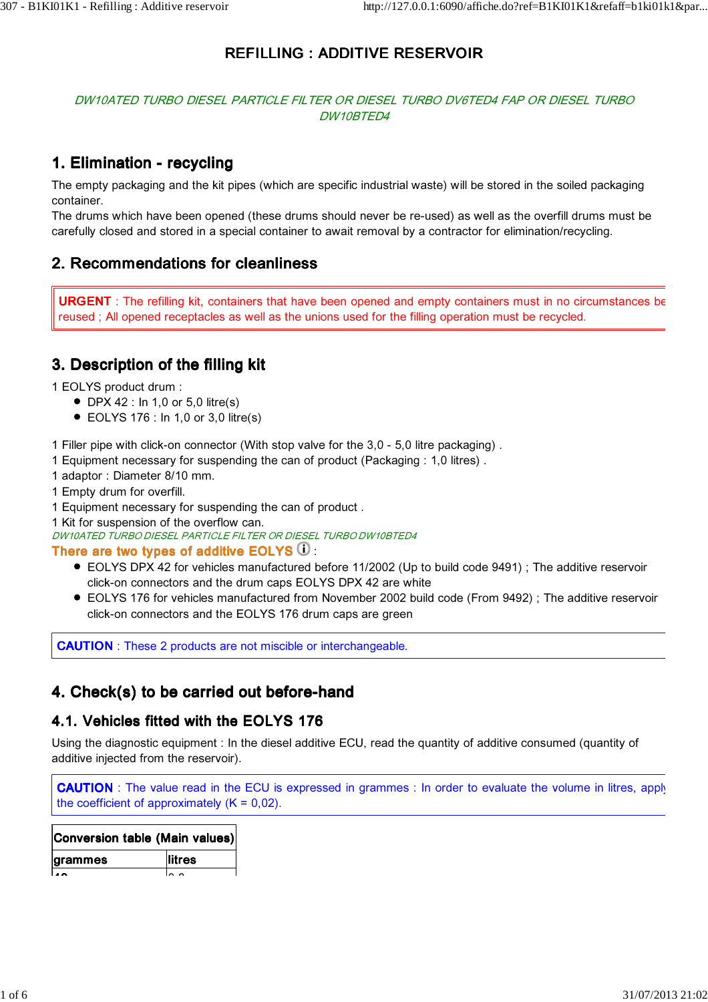# REFILLING : ADDITIVE RESERVOIR

#### DW10ATED TURBO DIESEL PARTICLE FILTER OR DIESEL TURBO DV6TED4 FAP OR DIESEL TURBO DW10BTED4

# 1. Elimination - recycling

The empty packaging and the kit pipes (which are specific industrial waste) will be stored in the soiled packaging container.

The drums which have been opened (these drums should never be re-used) as well as the overfill drums must be carefully closed and stored in a special container to await removal by a contractor for elimination/recycling.

### 2. Recommendations for cleanliness

URGENT : The refilling kit, containers that have been opened and empty containers must in no circumstances be reused ; All opened receptacles as well as the unions used for the filling operation must be recycled.

## 3. Description of the filling kit

1 EOLYS product drum :

- $\bullet$  DPX 42 : In 1,0 or 5,0 litre(s)
- $\bullet$  EOLYS 176 : In 1,0 or 3,0 litre(s)

1 Filler pipe with click-on connector (With stop valve for the 3,0 - 5,0 litre packaging) .

- 1 Equipment necessary for suspending the can of product (Packaging : 1,0 litres) .
- 1 adaptor : Diameter 8/10 mm.
- 1 Empty drum for overfill.

1 Equipment necessary for suspending the can of product .

1 Kit for suspension of the overflow can.

DW10ATED TURBO DIESEL PARTICLE FILTER OR DIESEL TURBO DW10BTED4

#### There are two types of additive EOLYS  $\mathbf 0$  :

- EOLYS DPX 42 for vehicles manufactured before 11/2002 (Up to build code 9491) ; The additive reservoir click-on connectors and the drum caps EOLYS DPX 42 are white
- EOLYS 176 for vehicles manufactured from November 2002 build code (From 9492) ; The additive reservoir click-on connectors and the EOLYS 176 drum caps are green

CAUTION : These 2 products are not miscible or interchangeable.

# 4. Check(s) to be carried out before-hand

### 4.1. Vehicles fitted with the EOLYS 176

Using the diagnostic equipment : In the diesel additive ECU, read the quantity of additive consumed (quantity of additive injected from the reservoir).

**CAUTION**: The value read in the ECU is expressed in grammes : In order to evaluate the volume in litres, apply the coefficient of approximately  $(K = 0.02)$ .

| Conversion table (Main values) |        |
|--------------------------------|--------|
| grammes                        | litres |
|                                |        |